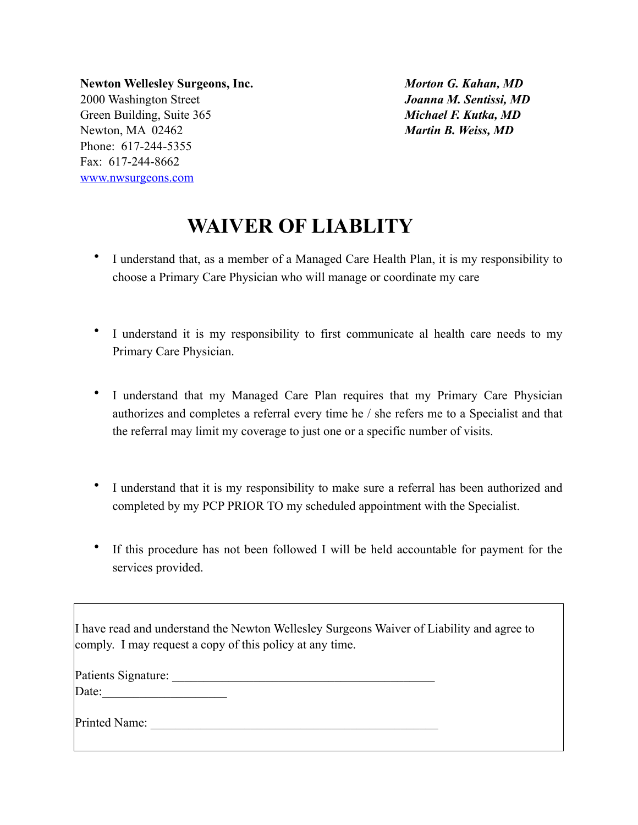**Newton Wellesley Surgeons, Inc.** 2000 Washington Street Green Building, Suite 365 Newton, MA 02462 Phone: 617-244-5355 Fax: 617-244-8662 [www.nwsurgeons.com](http://www.nwsurgeons.com)

*Morton G. Kahan, MD Joanna M. Sentissi, MD Michael F. Kutka, MD Martin B. Weiss, MD*

## **WAIVER OF LIABLITY**

- I understand that, as a member of a Managed Care Health Plan, it is my responsibility to choose a Primary Care Physician who will manage or coordinate my care
- I understand it is my responsibility to first communicate al health care needs to my Primary Care Physician.
- I understand that my Managed Care Plan requires that my Primary Care Physician authorizes and completes a referral every time he / she refers me to a Specialist and that the referral may limit my coverage to just one or a specific number of visits.
- I understand that it is my responsibility to make sure a referral has been authorized and completed by my PCP PRIOR TO my scheduled appointment with the Specialist.
- If this procedure has not been followed I will be held accountable for payment for the services provided.

I have read and understand the Newton Wellesley Surgeons Waiver of Liability and agree to comply. I may request a copy of this policy at any time.

Date:\_\_\_\_\_\_\_\_\_\_\_\_\_\_\_\_\_\_\_\_

Printed Name: